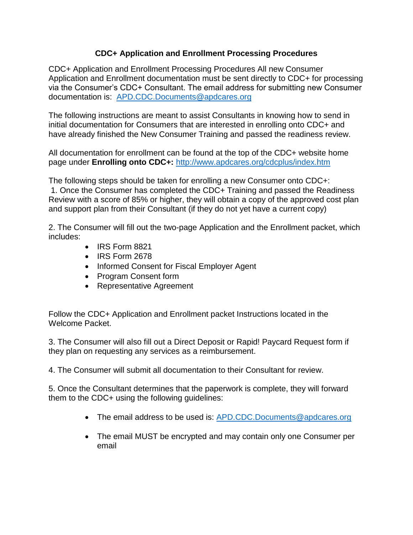## **CDC+ Application and Enrollment Processing Procedures**

CDC+ Application and Enrollment Processing Procedures All new Consumer Application and Enrollment documentation must be sent directly to CDC+ for processing via the Consumer's CDC+ Consultant. The email address for submitting new Consumer documentation is: [APD.CDC.Documents@apdcares.org](mailto:APD.CDC.Documents@apdcares.org)

The following instructions are meant to assist Consultants in knowing how to send in initial documentation for Consumers that are interested in enrolling onto CDC+ and have already finished the New Consumer Training and passed the readiness review.

All documentation for enrollment can be found at the top of the CDC+ website home page under **Enrolling onto CDC+:** <http://www.apdcares.org/cdcplus/index.htm>

The following steps should be taken for enrolling a new Consumer onto CDC+: 1. Once the Consumer has completed the CDC+ Training and passed the Readiness Review with a score of 85% or higher, they will obtain a copy of the approved cost plan and support plan from their Consultant (if they do not yet have a current copy)

2. The Consumer will fill out the two-page Application and the Enrollment packet, which includes:

- IRS Form 8821
- IRS Form 2678
- Informed Consent for Fiscal Employer Agent
- Program Consent form
- Representative Agreement

Follow the CDC+ Application and Enrollment packet Instructions located in the Welcome Packet.

3. The Consumer will also fill out a Direct Deposit or Rapid! Paycard Request form if they plan on requesting any services as a reimbursement.

4. The Consumer will submit all documentation to their Consultant for review.

5. Once the Consultant determines that the paperwork is complete, they will forward them to the CDC+ using the following guidelines:

- The email address to be used is: [APD.CDC.Documents@apdcares.org](mailto:APD.CDC.Documents@apdcares.org)
- The email MUST be encrypted and may contain only one Consumer per email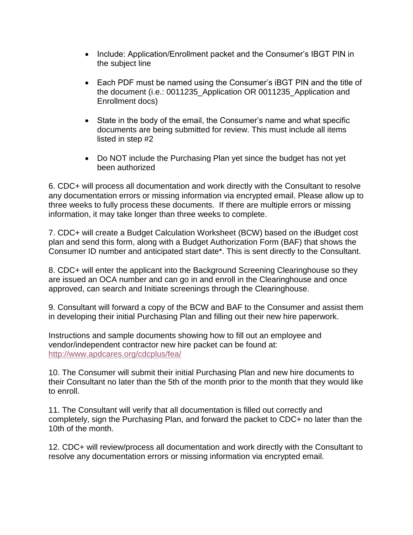- Include: Application/Enrollment packet and the Consumer's IBGT PIN in the subject line
- Each PDF must be named using the Consumer's iBGT PIN and the title of the document (i.e.: 0011235\_Application OR 0011235\_Application and Enrollment docs)
- State in the body of the email, the Consumer's name and what specific documents are being submitted for review. This must include all items listed in step #2
- Do NOT include the Purchasing Plan yet since the budget has not yet been authorized

6. CDC+ will process all documentation and work directly with the Consultant to resolve any documentation errors or missing information via encrypted email. Please allow up to three weeks to fully process these documents. If there are multiple errors or missing information, it may take longer than three weeks to complete.

7. CDC+ will create a Budget Calculation Worksheet (BCW) based on the iBudget cost plan and send this form, along with a Budget Authorization Form (BAF) that shows the Consumer ID number and anticipated start date\*. This is sent directly to the Consultant.

8. CDC+ will enter the applicant into the Background Screening Clearinghouse so they are issued an OCA number and can go in and enroll in the Clearinghouse and once approved, can search and Initiate screenings through the Clearinghouse.

9. Consultant will forward a copy of the BCW and BAF to the Consumer and assist them in developing their initial Purchasing Plan and filling out their new hire paperwork.

Instructions and sample documents showing how to fill out an employee and vendor/independent contractor new hire packet can be found at: <http://www.apdcares.org/cdcplus/fea/>

10. The Consumer will submit their initial Purchasing Plan and new hire documents to their Consultant no later than the 5th of the month prior to the month that they would like to enroll.

11. The Consultant will verify that all documentation is filled out correctly and completely, sign the Purchasing Plan, and forward the packet to CDC+ no later than the 10th of the month.

12. CDC+ will review/process all documentation and work directly with the Consultant to resolve any documentation errors or missing information via encrypted email.